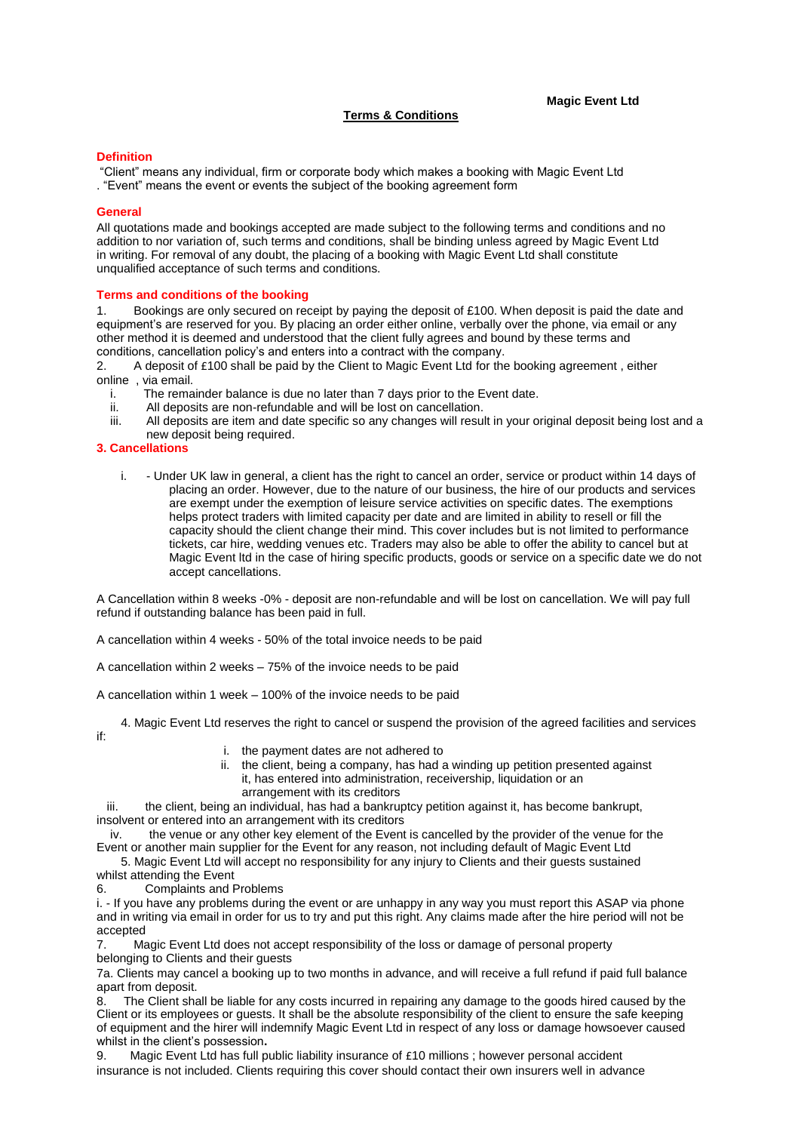## **Terms & Conditions**

### **Magic Event Ltd**

### **Definition**

"Client" means any individual, firm or corporate body which makes a booking with Magic Event Ltd . "Event" means the event or events the subject of the booking agreement form

### **General**

All quotations made and bookings accepted are made subject to the following terms and conditions and no addition to nor variation of, such terms and conditions, shall be binding unless agreed by Magic Event Ltd in writing. For removal of any doubt, the placing of a booking with Magic Event Ltd shall constitute unqualified acceptance of such terms and conditions.

### **Terms and conditions of the booking**

1. Bookings are only secured on receipt by paying the deposit of £100. When deposit is paid the date and equipment's are reserved for you. By placing an order either online, verbally over the phone, via email or any other method it is deemed and understood that the client fully agrees and bound by these terms and conditions, cancellation policy's and enters into a contract with the company.

2. A deposit of £100 shall be paid by the Client to Magic Event Ltd for the booking agreement , either online, via email.<br>i The rema

- i. The remainder balance is due no later than 7 days prior to the Event date.<br>ii. All deposits are non-refundable and will be lost on cancellation.
- All deposits are non-refundable and will be lost on cancellation.
- iii. All deposits are item and date specific so any changes will result in your original deposit being lost and a new deposit being required.

### **3. Cancellations**

i. - Under UK law in general, a client has the right to cancel an order, service or product within 14 days of placing an order. However, due to the nature of our business, the hire of our products and services are exempt under the exemption of leisure service activities on specific dates. The exemptions helps protect traders with limited capacity per date and are limited in ability to resell or fill the capacity should the client change their mind. This cover includes but is not limited to performance tickets, car hire, wedding venues etc. Traders may also be able to offer the ability to cancel but at Magic Event ltd in the case of hiring specific products, goods or service on a specific date we do not accept cancellations.

A Cancellation within 8 weeks -0% - deposit are non-refundable and will be lost on cancellation. We will pay full refund if outstanding balance has been paid in full.

A cancellation within 4 weeks - 50% of the total invoice needs to be paid

A cancellation within 2 weeks – 75% of the invoice needs to be paid

A cancellation within 1 week – 100% of the invoice needs to be paid

4. Magic Event Ltd reserves the right to cancel or suspend the provision of the agreed facilities and services

if:

- i. the payment dates are not adhered to
- ii. the client, being a company, has had a winding up petition presented against it, has entered into administration, receivership, liquidation or an arrangement with its creditors

iii. the client, being an individual, has had a bankruptcy petition against it, has become bankrupt, insolvent or entered into an arrangement with its creditors

iv. the venue or any other key element of the Event is cancelled by the provider of the venue for the Event or another main supplier for the Event for any reason, not including default of Magic Event Ltd

- 5. Magic Event Ltd will accept no responsibility for any injury to Clients and their guests sustained whilst attending the Event
- 6. Complaints and Problems

i. - If you have any problems during the event or are unhappy in any way you must report this ASAP via phone and in writing via email in order for us to try and put this right. Any claims made after the hire period will not be accepted

7. Magic Event Ltd does not accept responsibility of the loss or damage of personal property belonging to Clients and their guests

7a. Clients may cancel a booking up to two months in advance, and will receive a full refund if paid full balance apart from deposit.

8. The Client shall be liable for any costs incurred in repairing any damage to the goods hired caused by the Client or its employees or guests. It shall be the absolute responsibility of the client to ensure the safe keeping of equipment and the hirer will indemnify Magic Event Ltd in respect of any loss or damage howsoever caused whilst in the client's possession**.**

9. Magic Event Ltd has full public liability insurance of £10 millions; however personal accident insurance is not included. Clients requiring this cover should contact their own insurers well in advance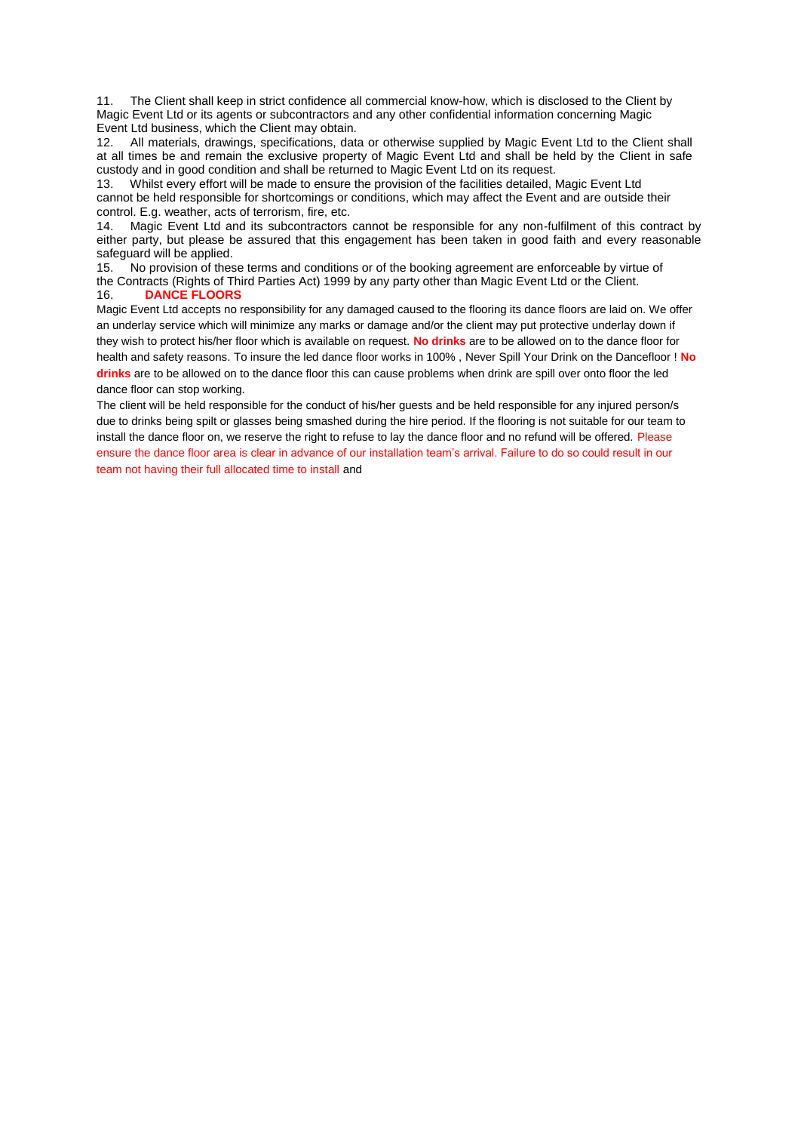11. The Client shall keep in strict confidence all commercial know-how, which is disclosed to the Client by Magic Event Ltd or its agents or subcontractors and any other confidential information concerning Magic Event Ltd business, which the Client may obtain.

12. All materials, drawings, specifications, data or otherwise supplied by Magic Event Ltd to the Client shall at all times be and remain the exclusive property of Magic Event Ltd and shall be held by the Client in safe custody and in good condition and shall be returned to Magic Event Ltd on its request.

13. Whilst every effort will be made to ensure the provision of the facilities detailed, Magic Event Ltd cannot be held responsible for shortcomings or conditions, which may affect the Event and are outside their control. E.g. weather, acts of terrorism, fire, etc.

14. Magic Event Ltd and its subcontractors cannot be responsible for any non-fulfilment of this contract by either party, but please be assured that this engagement has been taken in good faith and every reasonable safeguard will be applied.

15. No provision of these terms and conditions or of the booking agreement are enforceable by virtue of the Contracts (Rights of Third Parties Act) 1999 by any party other than Magic Event Ltd or the Client.<br>16. DANCE FLOORS 16. **DANCE FLOORS**

Magic Event Ltd accepts no responsibility for any damaged caused to the flooring its dance floors are laid on. We offer an underlay service which will minimize any marks or damage and/or the client may put protective underlay down if they wish to protect his/her floor which is available on request. **No drinks** are to be allowed on to the dance floor for health and safety reasons. To insure the led dance floor works in 100% , Never Spill Your Drink on the Dancefloor ! **No drinks** are to be allowed on to the dance floor this can cause problems when drink are spill over onto floor the led dance floor can stop working.

The client will be held responsible for the conduct of his/her guests and be held responsible for any injured person/s due to drinks being spilt or glasses being smashed during the hire period. If the flooring is not suitable for our team to install the dance floor on, we reserve the right to refuse to lay the dance floor and no refund will be offered. Please ensure the dance floor area is clear in advance of our installation team's arrival. Failure to do so could result in our team not having their full allocated time to install and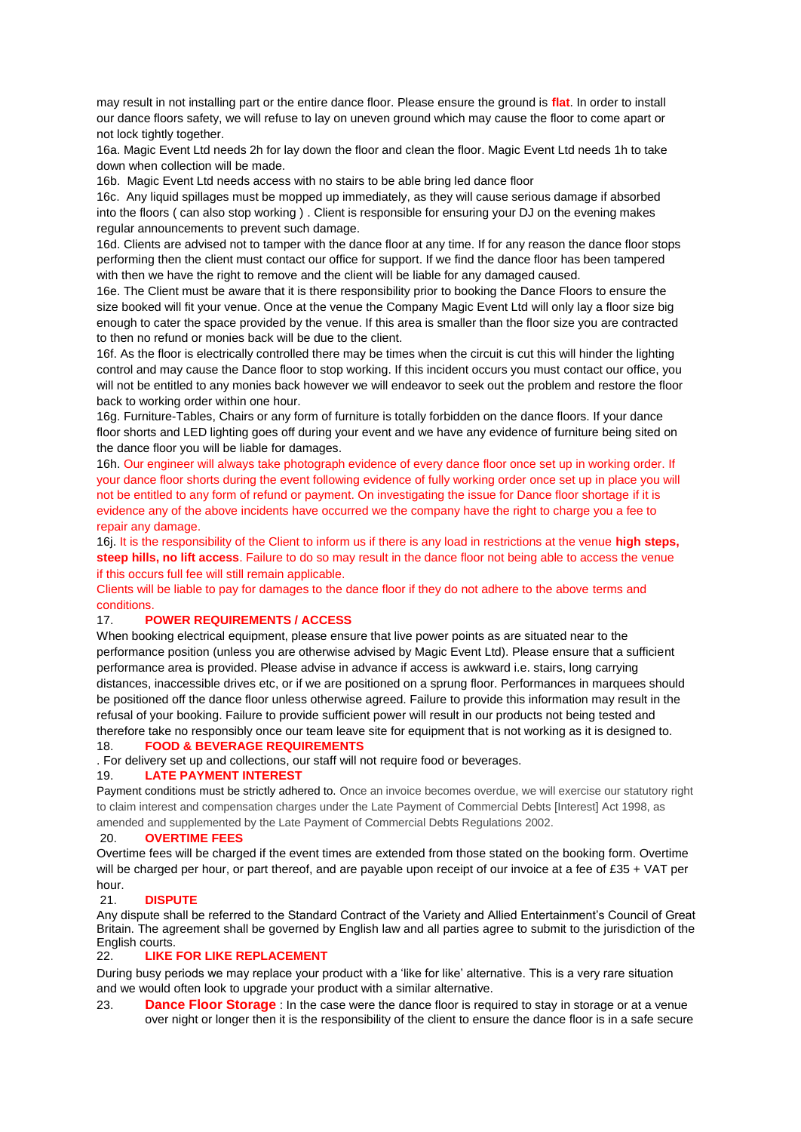may result in not installing part or the entire dance floor. Please ensure the ground is **flat**. In order to install our dance floors safety, we will refuse to lay on uneven ground which may cause the floor to come apart or not lock tightly together.

16a. Magic Event Ltd needs 2h for lay down the floor and clean the floor. Magic Event Ltd needs 1h to take down when collection will be made.

16b. Magic Event Ltd needs access with no stairs to be able bring led dance floor

16c. Any liquid spillages must be mopped up immediately, as they will cause serious damage if absorbed into the floors ( can also stop working ) . Client is responsible for ensuring your DJ on the evening makes regular announcements to prevent such damage.

16d. Clients are advised not to tamper with the dance floor at any time. If for any reason the dance floor stops performing then the client must contact our office for support. If we find the dance floor has been tampered with then we have the right to remove and the client will be liable for any damaged caused.

16e. The Client must be aware that it is there responsibility prior to booking the Dance Floors to ensure the size booked will fit your venue. Once at the venue the Company Magic Event Ltd will only lay a floor size big enough to cater the space provided by the venue. If this area is smaller than the floor size you are contracted to then no refund or monies back will be due to the client.

16f. As the floor is electrically controlled there may be times when the circuit is cut this will hinder the lighting control and may cause the Dance floor to stop working. If this incident occurs you must contact our office, you will not be entitled to any monies back however we will endeavor to seek out the problem and restore the floor back to working order within one hour.

16g. Furniture-Tables, Chairs or any form of furniture is totally forbidden on the dance floors. If your dance floor shorts and LED lighting goes off during your event and we have any evidence of furniture being sited on the dance floor you will be liable for damages.

16h. Our engineer will always take photograph evidence of every dance floor once set up in working order. If your dance floor shorts during the event following evidence of fully working order once set up in place you will not be entitled to any form of refund or payment. On investigating the issue for Dance floor shortage if it is evidence any of the above incidents have occurred we the company have the right to charge you a fee to repair any damage.

16j. It is the responsibility of the Client to inform us if there is any load in restrictions at the venue **high steps, steep hills, no lift access**. Failure to do so may result in the dance floor not being able to access the venue if this occurs full fee will still remain applicable.

Clients will be liable to pay for damages to the dance floor if they do not adhere to the above terms and conditions.

# 17. **POWER REQUIREMENTS / ACCESS**

When booking electrical equipment, please ensure that live power points as are situated near to the performance position (unless you are otherwise advised by Magic Event Ltd). Please ensure that a sufficient performance area is provided. Please advise in advance if access is awkward i.e. stairs, long carrying distances, inaccessible drives etc, or if we are positioned on a sprung floor. Performances in marquees should be positioned off the dance floor unless otherwise agreed. Failure to provide this information may result in the refusal of your booking. Failure to provide sufficient power will result in our products not being tested and therefore take no responsibly once our team leave site for equipment that is not working as it is designed to.

18. **FOOD & BEVERAGE REQUIREMENTS**

. For delivery set up and collections, our staff will not require food or beverages.

### 19. **LATE PAYMENT INTEREST**

Payment conditions must be strictly adhered to. Once an invoice becomes overdue, we will exercise our statutory right to claim interest and compensation charges under the Late Payment of Commercial Debts [Interest] Act 1998, as amended and supplemented by the Late Payment of Commercial Debts Regulations 2002.

### 20. **OVERTIME FEES**

Overtime fees will be charged if the event times are extended from those stated on the booking form. Overtime will be charged per hour, or part thereof, and are payable upon receipt of our invoice at a fee of £35 + VAT per hour.

### 21. **DISPUTE**

Any dispute shall be referred to the Standard Contract of the Variety and Allied Entertainment's Council of Great Britain. The agreement shall be governed by English law and all parties agree to submit to the jurisdiction of the English courts.

### 22. **LIKE FOR LIKE REPLACEMENT**

During busy periods we may replace your product with a 'like for like' alternative. This is a very rare situation and we would often look to upgrade your product with a similar alternative.

23. **Dance Floor Storage** : In the case were the dance floor is required to stay in storage or at a venue over night or longer then it is the responsibility of the client to ensure the dance floor is in a safe secure